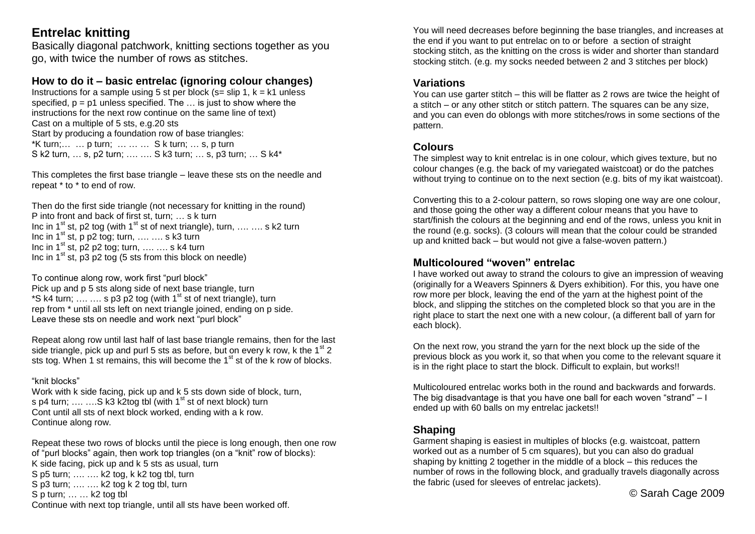# **Entrelac knitting**

Basically diagonal patchwork, knitting sections together as you go, with twice the number of rows as stitches.

# **How to do it – basic entrelac (ignoring colour changes)**

Instructions for a sample using 5 st per block ( $s$ = slip 1,  $k$  = k1 unless specified,  $p = p1$  unless specified. The  $\ldots$  is just to show where the instructions for the next row continue on the same line of text) Cast on a multiple of 5 sts, e.g.20 sts Start by producing a foundation row of base triangles: \*K turn;… … p turn; … … … S k turn; … s, p turn S k2 turn, … s, p2 turn; …. …. S k3 turn; … s, p3 turn; … S k4\*

This completes the first base triangle – leave these sts on the needle and repeat \* to \* to end of row.

Then do the first side triangle (not necessary for knitting in the round) P into front and back of first st, turn; … s k turn Inc in  $1^{st}$  st, p2 tog (with  $1^{st}$  st of next triangle), turn, ..., ..., s k2 turn Inc in  $1^{st}$  st, p p2 tog; turn, ..., ..., s k3 turn Inc in  $1^{st}$  st, p2 p2 tog; turn, ...,  $\ldots$  s k4 turn Inc in  $1<sup>st</sup>$  st, p3 p2 tog (5 sts from this block on needle)

To continue along row, work first "purl block" Pick up and p 5 sts along side of next base triangle, turn \*S k4 turn;  $\ldots$   $\ldots$  s p3 p2 tog (with 1<sup>st</sup> st of next triangle), turn rep from \* until all sts left on next triangle joined, ending on p side. Leave these sts on needle and work next "purl block"

Repeat along row until last half of last base triangle remains, then for the last side triangle, pick up and purl 5 sts as before, but on every k row, k the  $1<sup>st</sup>$  2 sts tog. When 1 st remains, this will become the 1<sup>st</sup> st of the k row of blocks.

#### "knit blocks"

Work with k side facing, pick up and k 5 sts down side of block, turn, s p4 turn; .... ... S k3 k2tog tbl (with 1<sup>st</sup> st of next block) turn Cont until all sts of next block worked, ending with a k row. Continue along row.

Repeat these two rows of blocks until the piece is long enough, then one row of "purl blocks" again, then work top triangles (on a "knit" row of blocks): K side facing, pick up and k 5 sts as usual, turn S p5 turn; …. …. k2 tog, k k2 tog tbl, turn S p3 turn; …. …. k2 tog k 2 tog tbl, turn S p turn; … … k2 tog tbl Continue with next top triangle, until all sts have been worked off.

You will need decreases before beginning the base triangles, and increases at the end if you want to put entrelac on to or before a section of straight stocking stitch, as the knitting on the cross is wider and shorter than standard stocking stitch. (e.g. my socks needed between 2 and 3 stitches per block)

# **Variations**

You can use garter stitch – this will be flatter as 2 rows are twice the height of a stitch – or any other stitch or stitch pattern. The squares can be any size, and you can even do oblongs with more stitches/rows in some sections of the pattern.

### **Colours**

The simplest way to knit entrelac is in one colour, which gives texture, but no colour changes (e.g. the back of my variegated waistcoat) or do the patches without trying to continue on to the next section (e.g. bits of my ikat waistcoat).

Converting this to a 2-colour pattern, so rows sloping one way are one colour, and those going the other way a different colour means that you have to start/finish the colours at the beginning and end of the rows, unless you knit in the round (e.g. socks). (3 colours will mean that the colour could be stranded up and knitted back – but would not give a false-woven pattern.)

# **Multicoloured "woven" entrelac**

I have worked out away to strand the colours to give an impression of weaving (originally for a Weavers Spinners & Dyers exhibition). For this, you have one row more per block, leaving the end of the yarn at the highest point of the block, and slipping the stitches on the completed block so that you are in the right place to start the next one with a new colour, (a different ball of yarn for each block).

On the next row, you strand the yarn for the next block up the side of the previous block as you work it, so that when you come to the relevant square it is in the right place to start the block. Difficult to explain, but works!!

Multicoloured entrelac works both in the round and backwards and forwards. The big disadvantage is that you have one ball for each woven "strand" – I ended up with 60 balls on my entrelac jackets!!

# **Shaping**

Garment shaping is easiest in multiples of blocks (e.g. waistcoat, pattern worked out as a number of 5 cm squares), but you can also do gradual shaping by knitting 2 together in the middle of a block – this reduces the number of rows in the following block, and gradually travels diagonally across the fabric (used for sleeves of entrelac jackets).

© Sarah Cage 2009